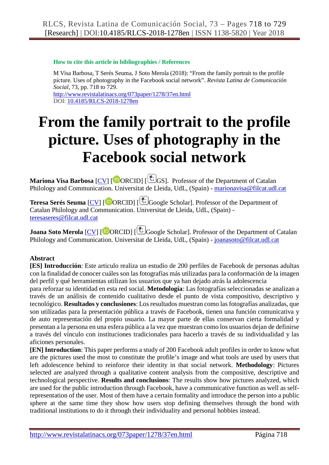#### **How to cite this article in bibliographies / References**

M Visa Barbosa, T Serés Seuma, J Soto Merola (2018): "From the family portrait to the profile picture. Uses of photography in the Facebook social network". *Revista Latina de Comunicación Social*, 73, pp. 718 to 729. <http://www.revistalatinacs.org/073paper/1278/37en.html>

DOI: [10.4185/RLCS-2018-1278en](http://dx.doi.org/10.4185/RLCS-2018-1278en)

# **From the family portrait to the profile picture. Uses of photography in the Facebook social network**

**Mariona Visa Barbosa** [CV] [<sup>[D</sup>[O](http://orcid.org/0000-0002-9261-264X)RCID] [<sup>[C</sup>GS]. Professor of the Department of Catalan Philology and Communication. Universitat de Lleida, UdL, (Spain) - [marionavisa@filcat.udl.cat](mailto:marionavisa@filcat.udl.cat)

**Teresa Serés Seuma** [CV] [  $\bullet$  [O](http://orcid.org/0000-0002-6735-6728)RCID] [  $\bullet$  Google Scholar]. Professor of the Department of Catalan Philology and Communication. Universitat de Lleida, UdL, (Spain) [teresaseres@filcat.udl.cat](mailto:teresaseres@filcat.udl.cat)

**Joana Soto Merola** [CV] [<sup>[D</sup>[O](http://orcid.org/0000-0002-5416-6730)RCID] [<sup>[C</sup>] [G](https://scholar.google.es/citations?hl=es&user=job6prEAAAAJ&view_op=list_works&is_public_preview=1)oogle Scholar]. Professor of the Department of Catalan Philology and Communication. Universitat de Lleida, UdL, (Spain) - [joanasoto@filcat.udl.cat](mailto:joanasoto@filcat.udl.cat)

# **Abstract**

**[ES] Introducción**: Este articulo realiza un estudio de 200 perfiles de Facebook de personas adultas con la finalidad de conocer cuáles son las fotografías más utilizadas para la conformación de la imagen del perfil y qué herramientas utilizan los usuarios que ya han dejado atrás la adolescencia

para reforzar su identidad en esta red social. **Metodología**: Las fotografías seleccionadas se analizan a través de un análisis de contenido cualitativo desde el punto de vista compositivo, descriptivo y tecnológico. **Resultados y conclusiones**: Los resultados muestran como las fotografías analizadas, que son utilizadas para la presentación pública a través de Facebook, tienen una función comunicativa y de auto representación del propio usuario. La mayor parte de ellas conservan cierta formalidad y presentan a la persona en una esfera pública a la vez que muestran como los usuarios dejan de definirse a través del vínculo con instituciones tradicionales para hacerlo a través de su individualidad y las aficiones personales.

**[EN] Introduction**: This paper performs a study of 200 Facebook adult profiles in order to know what are the pictures used the most to constitute the profile's image and what tools are used by users that left adolescence behind to reinforce their identity in that social network. **Methodology**: Pictures selected are analyzed through a qualitative content analysis from the compositive, descriptive and technological perspective. **Results and conclusions**: The results show how pictures analyzed, which are used for the public introduction through Facebook, have a communicative function as well as selfrepresentation of the user. Most of them have a certain formality and introduce the person into a public sphere at the same time they show how users stop defining themselves through the bond with traditional institutions to do it through their individuality and personal hobbies instead.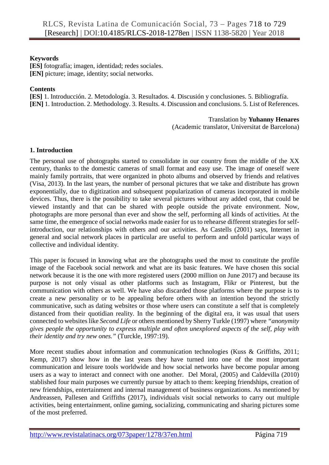## **Keywords**

**[ES]** fotografía; imagen, identidad; redes sociales. **[EN]** picture; image, identity; social networks.

## **Contents**

**[ES]** 1. Introducción. 2. Metodología. 3. Resultados. 4. Discusión y conclusiones. 5. Bibliografía. **[EN]** 1. Introduction. 2. Methodology. 3. Results. 4. Discussion and conclusions. 5. List of References.

## Translation by **Yuhanny Henares**

(Academic translator, Universitat de Barcelona)

## **1. Introduction**

The personal use of photographs started to consolidate in our country from the middle of the XX century, thanks to the domestic cameras of small format and easy use. The image of oneself were mainly family portraits, that were organized in photo albums and observed by friends and relatives (Visa, 2013). In the last years, the number of personal pictures that we take and distribute has grown exponentially, due to digitization and subsequent popularization of cameras incorporated in mobile devices. Thus, there is the possibility to take several pictures without any added cost, that could be viewed instantly and that can be shared with people outside the private environment. Now, photographs are more personal than ever and show the self, performing all kinds of activities. At the same time, the emergence of social networks made easier for us to rehearse different strategies for selfintroduction, our relationships with others and our activities. As Castells (2001) says, Internet in general and social network places in particular are useful to perform and unfold particular ways of collective and individual identity.

This paper is focused in knowing what are the photographs used the most to constitute the profile image of the Facebook social network and what are its basic features. We have chosen this social network because it is the one with more registered users (2000 million on June 2017) and because its purpose is not only visual as other platforms such as Instagram, Flikr or Pinterest, but the communication with others as well. We have also discarded those platforms where the purpose is to create a new personality or to be appealing before others with an intention beyond the strictly communicative, such as dating websites or those where users can constitute a self that is completely distanced from their quotidian reality. In the beginning of the digital era, it was usual that users connected to websites like *Second Life* or others mentioned by Sherry Turkle (1997) where *"anonymity gives people the opportunity to express multiple and often unexplored aspects of the self, play with their identity and try new ones."* (Turckle, 1997:19).

More recent studies about information and communication technologies (Kuss & Griffiths, 2011; Kemp, 2017) show how in the last years they have turned into one of the most important communication and leisure tools worldwide and how social networks have become popular among users as a way to interact and connect with one another. Del Moral, (2005) and Caldevilla (2010) stablished four main purposes we currently pursue by attach to them: keeping friendships, creation of new friendships, entertainment and internal management of business organizations. As mentioned by Andreassen, Pallesen and Griffiths (2017), individuals visit social networks to carry out multiple activities, being entertainment, online gaming, socializing, communicating and sharing pictures some of the most preferred.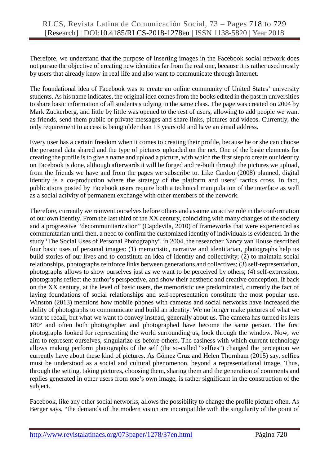Therefore, we understand that the purpose of inserting images in the Facebook social network does not pursue the objective of creating new identities far from the real one, because it is rather used mostly by users that already know in real life and also want to communicate through Internet.

The foundational idea of Facebook was to create an online community of United States' university students. As his name indicates, the original idea comes from the books edited in the past in universities to share basic information of all students studying in the same class. The page was created on 2004 by Mark Zuckerberg, and little by little was opened to the rest of users, allowing to add people we want as friends, send them public or private messages and share links, pictures and videos. Currently, the only requirement to access is being older than 13 years old and have an email address.

Every user has a certain freedom when it comes to creating their profile, because he or she can choose the personal data shared and the type of pictures uploaded on the net. One of the basic elements for creating the profile is to give a name and upload a picture, with which the first step to create our identity on Facebook is done, although afterwards it will be forged and re-built through the pictures we upload, from the friends we have and from the pages we subscribe to. Like Cardon (2008) planned, digital identity is a co-production where the strategy of the platform and users' tactics cross. In fact, publications posted by Facebook users require both a technical manipulation of the interface as well as a social activity of permanent exchange with other members of the network.

Therefore, currently we reinvent ourselves before others and assume an active role in the conformation of our own identity. From the last third of the XX century, coinciding with many changes of the society and a progressive "decommunitarization" (Capdevila, 2010) of frameworks that were experienced as communitarian until then, a need to confirm the customized identity of individuals is evidenced. In the study 'The Social Uses of Personal Photography', in 2004, the researcher Nancy van House described four basic uses of personal images: (1) memoristic, narrative and identitarian, photographs help us build stories of our lives and to constitute an idea of identity and collectivity; (2) to maintain social relationships, photographs reinforce links between generations and collectives; (3) self-representation, photographs allows to show ourselves just as we want to be perceived by others; (4) self-expression, photographs reflect the author's perspective, and show their aesthetic and creative conception. If back on the XX century, at the level of basic users, the memoristic use predominated, currently the fact of laying foundations of social relationships and self-representation constitute the most popular use. Winston (2013) mentions how mobile phones with cameras and social networks have increased the ability of photographs to communicate and build an identity. We no longer make pictures of what we want to recall, but what we want to convey instead, generally about us. The camera has turned its lens 180º and often both photographer and photographed have become the same person. The first photographs looked for representing the world surrounding us, look through the window. Now, we aim to represent ourselves, singularize us before others. The easiness with which current technology allows making perform photographs of the self (the so-called "selfies") changed the perception we currently have about these kind of pictures. As Gómez Cruz and Helen Thornham (2015) say, selfies must be understood as a social and cultural phenomenon, beyond a representational image. Thus, through the setting, taking pictures, choosing them, sharing them and the generation of comments and replies generated in other users from one's own image, is rather significant in the construction of the subject.

Facebook, like any other social networks, allows the possibility to change the profile picture often. As Berger says, "the demands of the modern vision are incompatible with the singularity of the point of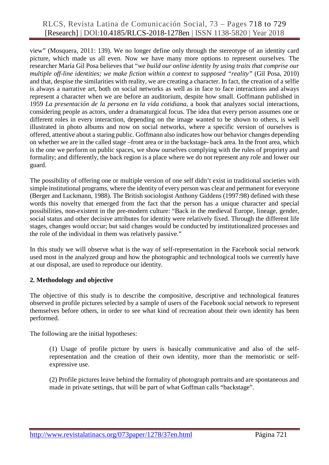# RLCS, Revista Latina de Comunicación Social, 73 – Pages 718 to 729 [Research] | DOI:10.4185/RLCS-2018-1278en | ISSN 1138-5820 | Year 2018

view" (Mosquera, 2011: 139). We no longer define only through the stereotype of an identity card picture, which made us all even. Now we have many more options to represent ourselves. The researcher María Gil Posa believes that "*we build our online identity by using traits that comprise our multiple off-line identities; we make fiction within a context to supposed "reality"* (Gil Posa, 2010) and that, despise the similarities with reality, we are creating a character. In fact, the creation of a selfie is always a narrative art, both on social networks as well as in face to face interactions and always represent a character when we are before an auditorium, despite how small. Goffmann published in 1959 *La presentación de la persona en la vida cotidiana*, a book that analyzes social interactions, considering people as actors, under a dramaturgical focus. The idea that every person assumes one or different roles in every interaction, depending on the image wanted to be shown to others, is well illustrated in photo albums and now on social networks, where a specific version of ourselves is offered, attentive about a staring public. Goffmann also indicates how our behavior changes depending on whether we are in the called stage –front area or in the backstage- back area. In the front area, which is the one we perform on public spaces, we show ourselves complying with the rules of propriety and formality; and differently, the back region is a place where we do not represent any role and lower our guard.

The possibility of offering one or multiple version of one self didn't exist in traditional societies with simple institutional programs, where the identity of every person was clear and permanent for everyone (Berger and Luckmann, 1988). The British sociologist Anthony Giddens (1997:98) defined with these words this novelty that emerged from the fact that the person has a unique character and special possibilities, non-existent in the pre-modern culture: "Back in the medieval Europe, lineage, gender, social status and other decisive attributes for identity were relatively fixed. Through the different life stages, changes would occur; but said changes would be conducted by institutionalized processes and the role of the individual in them was relatively passive*.*"

In this study we will observe what is the way of self-representation in the Facebook social network used most in the analyzed group and how the photographic and technological tools we currently have at our disposal, are used to reproduce our identity.

#### **2. Methodology and objective**

The objective of this study is to describe the compositive, descriptive and technological features observed in profile pictures selected by a sample of users of the Facebook social network to represent themselves before others, in order to see what kind of recreation about their own identity has been performed.

The following are the initial hypotheses:

(1) Usage of profile picture by users is basically communicative and also of the selfrepresentation and the creation of their own identity, more than the memoristic or selfexpressive use.

(2) Profile pictures leave behind the formality of photograph portraits and are spontaneous and made in private settings, that will be part of what Goffman calls "backstage".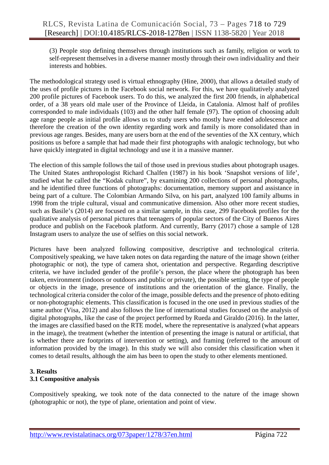(3) People stop defining themselves through institutions such as family, religion or work to self-represent themselves in a diverse manner mostly through their own individuality and their interests and hobbies.

The methodological strategy used is virtual ethnography (Hine, 2000), that allows a detailed study of the uses of profile pictures in the Facebook social network. For this, we have qualitatively analyzed 200 profile pictures of Facebook users. To do this, we analyzed the first 200 friends, in alphabetical order, of a 38 years old male user of the Province of Lleida, in Catalonia. Almost half of profiles corresponded to male individuals (103) and the other half female (97). The option of choosing adult age range people as initial profile allows us to study users who mostly have ended adolescence and therefore the creation of the own identity regarding work and family is more consolidated than in previous age ranges. Besides, many are users born at the end of the seventies of the XX century, which positions us before a sample that had made their first photographs with analogic technology, but who have quickly integrated in digital technology and use it in a massive manner.

The election of this sample follows the tail of those used in previous studies about photograph usages. The United States anthropologist Richard Chalfen (1987) in his book 'Snapshot versions of life', studied what he called the "Kodak culture", by examining 200 collections of personal photographs, and he identified three functions of photographs: documentation, memory support and assistance in being part of a culture. The Colombian Armando Silva, on his part, analyzed 100 family albums in 1998 from the triple cultural, visual and communicative dimension. Also other more recent studies, such as Basile's (2014) are focused on a similar sample, in this case, 299 Facebook profiles for the qualitative analysis of personal pictures that teenagers of popular sectors of the City of Buenos Aires produce and publish on the Facebook platform. And currently, Barry (2017) chose a sample of 128 Instagram users to analyze the use of selfies on this social network.

Pictures have been analyzed following compositive, descriptive and technological criteria. Compositively speaking, we have taken notes on data regarding the nature of the image shown (either photographic or not), the type of camera shot, orientation and perspective. Regarding descriptive criteria, we have included gender of the profile's person, the place where the photograph has been taken, environment (indoors or outdoors and public or private), the possible setting, the type of people or objects in the image, presence of institutions and the orientation of the glance. Finally, the technological criteria consider the color of the image, possible defects and the presence of photo editing or non-photographic elements. This classification is focused in the one used in previous studies of the same author (Visa, 2012) and also follows the line of international studies focused on the analysis of digital photographs, like the case of the project performed by Rueda and Giraldo (2016). In the latter, the images are classified based on the RTE model, where the representative is analyzed (what appears in the image), the treatment (whether the intention of presenting the image is natural or artificial, that is whether there are footprints of intervention or setting), and framing (referred to the amount of information provided by the image). In this study we will also consider this classification when it comes to detail results, although the aim has been to open the study to other elements mentioned.

## **3. Results**

## **3.1 Compositive analysis**

Compositively speaking, we took note of the data connected to the nature of the image shown (photographic or not), the type of plane, orientation and point of view.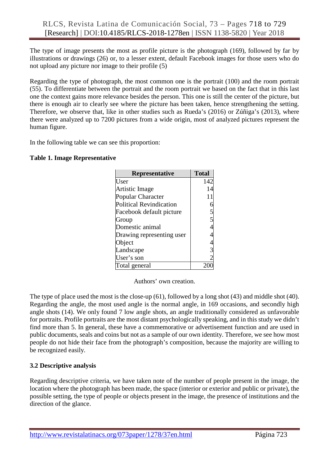The type of image presents the most as profile picture is the photograph (169), followed by far by illustrations or drawings (26) or, to a lesser extent, default Facebook images for those users who do not upload any picture nor image to their profile (5)

Regarding the type of photograph, the most common one is the portrait (100) and the room portrait (55). To differentiate between the portrait and the room portrait we based on the fact that in this last one the context gains more relevance besides the person. This one is still the center of the picture, but there is enough air to clearly see where the picture has been taken, hence strengthening the setting. Therefore, we observe that, like in other studies such as Rueda's (2016) or Zúñiga's (2013), where there were analyzed up to 7200 pictures from a wide origin, most of analyzed pictures represent the human figure.

In the following table we can see this proportion:

## **Table 1. Image Representative**

| Representative                 | <b>Total</b> |
|--------------------------------|--------------|
| User                           | 142          |
| Artistic Image                 |              |
| Popular Character              |              |
| <b>Political Revindication</b> |              |
| Facebook default picture       |              |
| Group                          |              |
| Domestic animal                |              |
| Drawing representing user      |              |
| Object                         |              |
| Landscape                      |              |
| User's son                     |              |
| Total general                  |              |

Authors' own creation.

The type of place used the most is the close-up (61), followed by a long shot (43) and middle shot (40). Regarding the angle, the most used angle is the normal angle, in 169 occasions, and secondly high angle shots (14). We only found 7 low angle shots, an angle traditionally considered as unfavorable for portraits. Profile portraits are the most distant psychologically speaking, and in this study we didn't find more than 5. In general, these have a commemorative or advertisement function and are used in public documents, seals and coins but not as a sample of our own identity. Therefore, we see how most people do not hide their face from the photograph's composition, because the majority are willing to be recognized easily.

#### **3.2 Descriptive analysis**

Regarding descriptive criteria, we have taken note of the number of people present in the image, the location where the photograph has been made, the space (interior or exterior and public or private), the possible setting, the type of people or objects present in the image, the presence of institutions and the direction of the glance.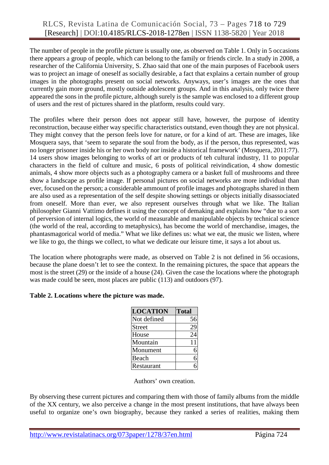The number of people in the profile picture is usually one, as observed on Table 1. Only in 5 occasions there appears a group of people, which can belong to the family or friends circle. In a study in 2008, a researcher of the California University, S. Zhao said that one of the main purposes of Facebook users was to project an image of oneself as socially desirable, a fact that explains a certain number of group images in the photographs present on social networks. Anyways, user's images are the ones that currently gain more ground, mostly outside adolescent groups. And in this analysis, only twice there appeared the sons in the profile picture, although surely is the sample was enclosed to a different group of users and the rest of pictures shared in the platform, results could vary.

The profiles where their person does not appear still have, however, the purpose of identity reconstruction, because either way specific characteristics outstand, even though they are not physical. They might convey that the person feels love for nature, or for a kind of art. These are images, like Mosquera says, that 'seem to separate the soul from the body, as if the person, thus represented, was no longer prisoner inside his or her own body nor inside a historical framework' (Mosquera, 2011:77). 14 users show images belonging to works of art or products of teh cultural industry, 11 to popular characters in the field of culture and music, 6 posts of political reivindication, 4 show domestic animals, 4 show more objects such as a photography camera or a basket full of mushrooms and three show a landscape as profile image. If personal pictures on social networks are more individual than ever, focused on the person; a considerable ammount of profile images and photographs shared in them are also used as a representation of the self despite showing settings or objects initially disassociated from oneself. More than ever, we also represent ourselves through what we like. The Italian philosopher Gianni Vattimo defines it using the concept of demaking and explains how "due to a sort of perversion of internal logics, the world of measurable and manipulable objects by technical science (the world of the real, according to metaphysics), has become the world of merchandise, images, the phantasmagorical world of media." What we like defines us: what we eat, the music we listen, where we like to go, the things we collect, to what we dedicate our leisure time, it says a lot about us.

The location where photographs were made, as observed on Table 2 is not defined in 56 occasions, because the plane doesn't let to see the context. In the remaining pictures, the space that appears the most is the street (29) or the inside of a house (24). Given the case the locations where the photograph was made could be seen, most places are public (113) and outdoors (97).

#### **Table 2. Locations where the picture was made.**

| <b>LOCATION</b> | <b>Total</b> |
|-----------------|--------------|
| Not defined     | 56           |
| Street          | 29           |
| House           | 24           |
| Mountain        | 11           |
| Monument        |              |
| Beach           |              |
| Restaurant      |              |

Authors' own creation.

By observing these current pictures and comparing them with those of family albums from the middle of the XX century, we also perceive a change in the most present institutions, that have always been useful to organize one's own biography, because they ranked a series of realities, making them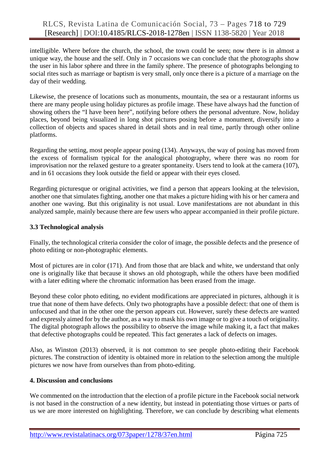intelligible. Where before the church, the school, the town could be seen; now there is in almost a unique way, the house and the self. Only in 7 occasions we can conclude that the photographs show the user in his labor sphere and three in the family sphere. The presence of photographs belonging to social rites such as marriage or baptism is very small, only once there is a picture of a marriage on the day of their wedding.

Likewise, the presence of locations such as monuments, mountain, the sea or a restaurant informs us there are many people using holiday pictures as profile image. These have always had the function of showing others the "I have been here", notifying before others the personal adventure. Now, holiday places, beyond being visualized in long shot pictures posing before a monument, diversify into a collection of objects and spaces shared in detail shots and in real time, partly through other online platforms.

Regarding the setting, most people appear posing (134). Anyways, the way of posing has moved from the excess of formalism typical for the analogical photography, where there was no room for improvisation nor the relaxed gesture to a greater spontaneity. Users tend to look at the camera (107), and in 61 occasions they look outside the field or appear with their eyes closed.

Regarding picturesque or original activities, we find a person that appears looking at the television, another one that simulates fighting, another one that makes a picture hiding with his or her camera and another one waving. But this originality is not usual. Love manifestations are not abundant in this analyzed sample, mainly because there are few users who appear accompanied in their profile picture.

## **3.3 Technological analysis**

Finally, the technological criteria consider the color of image, the possible defects and the presence of photo editing or non-photographic elements.

Most of pictures are in color (171). And from those that are black and white, we understand that only one is originally like that because it shows an old photograph, while the others have been modified with a later editing where the chromatic information has been erased from the image.

Beyond these color photo editing, no evident modifications are appreciated in pictures, although it is true that none of them have defects. Only two photographs have a possible defect: that one of them is unfocused and that in the other one the person appears cut. However, surely these defects are wanted and expressly aimed for by the author, as a way to mask his own image or to give a touch of originality. The digital photograph allows the possibility to observe the image while making it, a fact that makes that defective photographs could be repeated. This fact generates a lack of defects on images.

Also, as Winston (2013) observed, it is not common to see people photo-editing their Facebook pictures. The construction of identity is obtained more in relation to the selection among the multiple pictures we now have from ourselves than from photo-editing.

#### **4. Discussion and conclusions**

We commented on the introduction that the election of a profile picture in the Facebook social network is not based in the construction of a new identity, but instead in potentiating those virtues or parts of us we are more interested on highlighting. Therefore, we can conclude by describing what elements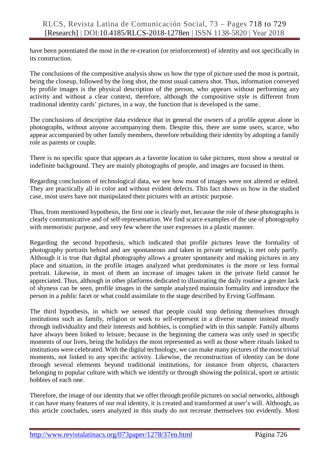have been potentiated the most in the re-creation (or reinforcement) of identity and not specifically in its construction.

The conclusions of the compositive analysis show us how the type of picture used the most is portrait, being the closeup, followed by the long shot, the most usual camera shot. Thus, information conveyed by profile images is the physical description of the person, who appears without performing any activity and without a clear context, therefore, although the compositive style is different from traditional identity cards' pictures, in a way, the function that is developed is the same.

The conclusions of descriptive data evidence that in general the owners of a profile appear alone in photographs, without anyone accompanying them. Despite this, there are some users, scarce, who appear accompanied by other family members, therefore rebuilding their identity by adopting a family role as parents or couple.

There is no specific space that appears as a favorite location to take pictures, most show a neutral or indefinite background. They are mainly photographs of people, and images are focused in them.

Regarding conclusions of technological data, we see how most of images were not altered or edited. They are practically all in color and without evident defects. This fact shows us how in the studied case, most users have not manipulated their pictures with an artistic purpose.

Thus, from mentioned hypothesis, the first one is clearly met, because the role of these photographs is clearly communicative and of self-representation. We find scarce examples of the use of photography with memoristic purpose, and very few where the user expresses in a plastic manner.

Regarding the second hypothesis, which indicated that profile pictures leave the formality of photography portraits behind and are spontaneous and taken in private settings, is met only partly. Although it is true that digital photography allows a greater spontaneity and making pictures in any place and situation, in the profile images analyzed what predominates is the more or less formal portrait. Likewise, in most of them an increase of images taken in the private field cannot be appreciated. Thus, although in other platforms dedicated to illustrating the daily routine a greater lack of shyness can be seen, profile images in the sample analyzed maintain formality and introduce the person in a public facet or what could assimilate to the stage described by Erving Goffmann.

The third hypothesis, in which we sensed that people could stop defining themselves through institutions such as family, religion or work to self-represent in a diverse manner instead mostly through individuality and their interests and hobbies, is complied with in this sample. Family albums have always been linked to leisure, because in the beginning the camera was only used in specific moments of our lives, being the holidays the most represented as well as those where rituals linked to institutions were celebrated. With the digital technology, we can make many pictures of the most trivial moments, not linked to any specific activity. Likewise, the reconstruction of identity can be done through several elements beyond traditional institutions, for instance from objects, characters belonging to popular culture with which we identify or through showing the political, sport or artistic hobbies of each one.

Therefore, the image of our identity that we offer through profile pictures on social networks, although it can have many features of our real identity, it is created and transformed at user's will. Although, as this article concludes, users analyzed in this study do not recreate themselves too evidently. Most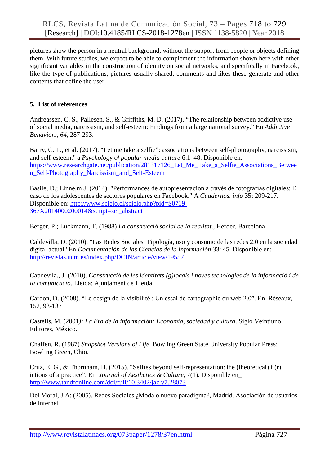pictures show the person in a neutral background, without the support from people or objects defining them. With future studies, we expect to be able to complement the information shown here with other significant variables in the construction of identity on social networks, and specifically in Facebook, like the type of publications, pictures usually shared, comments and likes these generate and other contents that define the user.

## **5. List of references**

Andreassen, C. S., Pallesen, S., & Griffiths, M. D. (2017). "The relationship between addictive use of social media, narcissism, and self-esteem: Findings from a large national survey." En *Addictive Behaviors*, *64*, 287-293.

Barry, C. T., et al. (2017). "Let me take a selfie": associations between self-photography, narcissism, and self-esteem." a *Psychology of popular media culture* 6.1 48. Disponible en: [https://www.researchgate.net/publication/281317126\\_Let\\_Me\\_Take\\_a\\_Selfie\\_Associations\\_Betwee](https://www.researchgate.net/publication/281317126_Let_Me_Take_a_Selfie_Associations_Between_Self-Photography_Narcissism_and_Self-Esteem) [n\\_Self-Photography\\_Narcissism\\_and\\_Self-Esteem](https://www.researchgate.net/publication/281317126_Let_Me_Take_a_Selfie_Associations_Between_Self-Photography_Narcissism_and_Self-Esteem)

Basile, D.; Linne,m J. (2014). "Performances de autopresentacion a través de fotografías digitales: El caso de los adolescentes de sectores populares en Facebook." A *Cuadernos. info* 35: 209-217. Disponible en: [http://www.scielo.cl/scielo.php?pid=S0719-](http://www.scielo.cl/scielo.php?pid=S0719-367X2014000200014&script=sci_abstract) [367X2014000200014&script=sci\\_abstract](http://www.scielo.cl/scielo.php?pid=S0719-367X2014000200014&script=sci_abstract)

Berger, P.; Luckmann, T. (1988) *La construcció social de la realitat*., Herder, Barcelona

Caldevilla, D. (2010). "Las Redes Sociales. Tipología, uso y consumo de las redes 2.0 en la sociedad digital actual" En *Documentación de las Ciencias de la Información* 33: 45. Disponible en: <http://revistas.ucm.es/index.php/DCIN/article/view/19557>

Capdevila**.**, J. (2010). *Construcció de les identitats (g)locals i noves tecnologies de la informació i de la comunicació*. Lleida: Ajuntament de Lleida.

Cardon, D. (2008). "Le design de la visibilité : Un essai de cartographie du web 2.0". En Réseaux, 152, 93-137

Castells, M. (2001*): La Era de la información: Economía, sociedad y cultura*. Siglo Veintiuno Editores, México.

Chalfen, R. (1987) *Snapshot Versions of Life*. Bowling Green State University Popular Press: Bowling Green, Ohio.

Cruz, E. G., & Thornham, H. (2015). "Selfies beyond self-representation: the (theoretical) f (r) ictions of a practice". En *Journal of Aesthetics & Culture*, *7*(1). Disponible en\_ <http://www.tandfonline.com/doi/full/10.3402/jac.v7.28073>

Del Moral, J.A: (2005). Redes Sociales ¿Moda o nuevo paradigma?, Madrid, Asociación de usuarios de Internet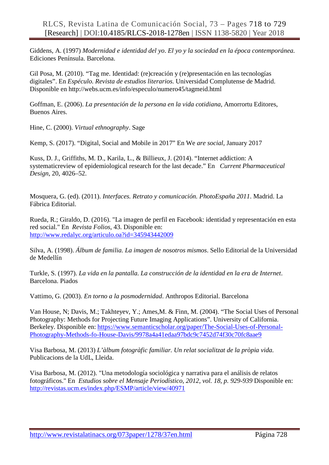Giddens, A. (1997) *Modernidad e identidad del yo*. *El yo y la sociedad en la época contemporánea.*  Ediciones Península. Barcelona.

Gil Posa, M. (2010). "Tag me. Identidad: (re)creación y (re)presentación en las tecnologías digitales". En *Espéculo. Revista de estudios literarios*. Universidad Complutense de Madrid. Disponible en http://webs.ucm.es/info/especulo/numero45/tagmeid.html

Goffman, E. (2006). *La presentación de la persona en la vida cotidiana*, Amorrortu Editores, Buenos Aires.

Hine, C. (2000). *Virtual ethnography*. Sage

Kemp, S. (2017). "Digital, Social and Mobile in 2017" En We *are social*, January 2017

Kuss, D. J., Griffiths, M. D., Karila, L., & Billieux, J. (2014). "Internet addiction: A systematicreview of epidemiological research for the last decade." En *Current Pharmaceutical Design*, 20, 4026–52.

Mosquera, G. (ed). (2011). *Interfaces. Retrato y comunicación. PhotoEspaña 2011*. Madrid. La Fábrica Editorial.

Rueda, R.; Giraldo, D. (2016). "La imagen de perfil en Facebook: identidad y representación en esta red social." En *Revista Folios*, 43. Disponible en: <http://www.redalyc.org/articulo.oa?id=345943442009>

Silva, A. (1998). *Álbum de familia. La imagen de nosotros mismos*. Sello Editorial de la Universidad de Medellín

Turkle, S. (1997). *La vida en la pantalla. La construcción de la identidad en la era de Internet*. Barcelona. Piados

Vattimo, G. (2003). *En torno a la posmodernidad*. Anthropos Editorial. Barcelona

Van House, N; Davis, M.; Takhteyev, Y.; Ames,M. & Finn, M. (2004). "The Social Uses of Personal Photography: Methods for Projecting Future Imaging Applications". University of California. Berkeley. Disponible en: [https://www.semanticscholar.org/paper/The-Social-Uses-of-Personal-](https://www.semanticscholar.org/paper/The-Social-Uses-of-Personal-Photography-Methods-fo-House-Davis/9978a4a41edaa97bdc9c7452d74f30c70fc8aae9)[Photography-Methods-fo-House-Davis/9978a4a41edaa97bdc9c7452d74f30c70fc8aae9](https://www.semanticscholar.org/paper/The-Social-Uses-of-Personal-Photography-Methods-fo-House-Davis/9978a4a41edaa97bdc9c7452d74f30c70fc8aae9)

Visa Barbosa, M. (2013) *L'àlbum fotogràfic familiar. Un relat socialitzat de la pròpia vida.* Publicacions de la UdL, Lleida.

Visa Barbosa, M. (2012). "Una metodología sociológica y narrativa para el análisis de relatos fotográficos." En *Estudios sobre el Mensaje Periodístico, 2012, vol. 18, p. 929-939* Disponible en: <http://revistas.ucm.es/index.php/ESMP/article/view/40971>